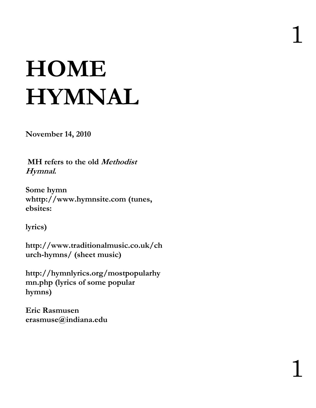# **HOME HYMNAL**

1

1

**November 14, 2010** 

 **MH refers to the old Methodist Hymnal.** 

**Some hymn whttp://www.hymnsite.com (tunes, ebsites:** 

**lyrics)** 

**http://www.traditionalmusic.co.uk/ch urch-hymns/ (sheet music)** 

**http://hymnlyrics.org/mostpopularhy mn.php (lyrics of some popular hymns)** 

**Eric Rasmusen erasmuse@indiana.edu**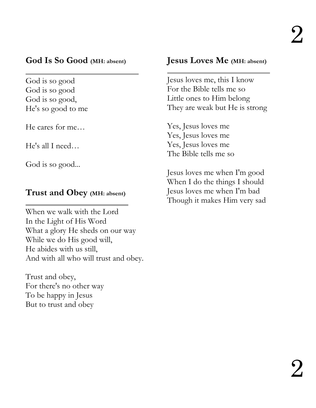## **God Is So Good (MH: absent)**

God is so good God is so good God is so good, He's so good to me

He cares for me…

He's all I need…

God is so good...

## **Trust and Obey (MH: absent)**

When we walk with the Lord In the Light of His Word What a glory He sheds on our way While we do His good will, He abides with us still, And with all who will trust and obey.

Trust and obey, For there's no other way To be happy in Jesus But to trust and obey

### **Jesus Loves Me (MH: absent)**

Jesus loves me, this I know For the Bible tells me so Little ones to Him belong They are weak but He is strong

Yes, Jesus loves me Yes, Jesus loves me Yes, Jesus loves me The Bible tells me so

Jesus loves me when I'm good When I do the things I should Jesus loves me when I'm bad Though it makes Him very sad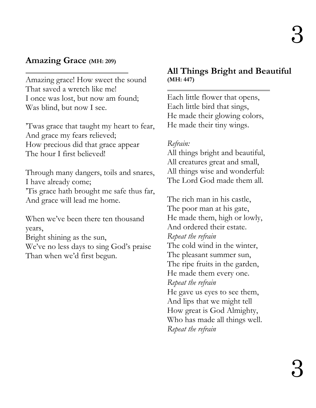# **Amazing Grace (MH: 209)**

Amazing grace! How sweet the sound That saved a wretch like me! I once was lost, but now am found; Was blind, but now I see.

'Twas grace that taught my heart to fear, And grace my fears relieved; How precious did that grace appear The hour I first believed!

Through many dangers, toils and snares, I have already come; 'Tis grace hath brought me safe thus far, And grace will lead me home.

When we've been there ten thousand years,

Bright shining as the sun, We've no less days to sing God's praise Than when we'd first begun.

#### **All Things Bright and Beautiful (MH: 447)**

Each little flower that opens, Each little bird that sings, He made their glowing colors, He made their tiny wings.

#### *Refrain:*

All things bright and beautiful, All creatures great and small, All things wise and wonderful: The Lord God made them all.

The rich man in his castle, The poor man at his gate, He made them, high or lowly, And ordered their estate. *Repeat the refrain* The cold wind in the winter, The pleasant summer sun, The ripe fruits in the garden, He made them every one. *Repeat the refrain* He gave us eyes to see them, And lips that we might tell How great is God Almighty, Who has made all things well. *Repeat the refrain*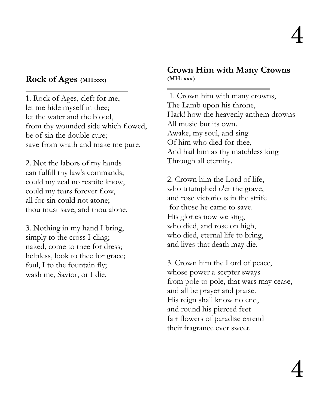4

## **Rock of Ages (MH:xxx)**

1. Rock of Ages, cleft for me, let me hide myself in thee; let the water and the blood, from thy wounded side which flowed, be of sin the double cure; save from wrath and make me pure.

2. Not the labors of my hands can fulfill thy law's commands; could my zeal no respite know, could my tears forever flow, all for sin could not atone; thou must save, and thou alone.

3. Nothing in my hand I bring, simply to the cross I cling; naked, come to thee for dress; helpless, look to thee for grace; foul, I to the fountain fly; wash me, Savior, or I die.

#### **Crown Him with Many Crowns (MH: xxx)**

 1. Crown him with many crowns, The Lamb upon his throne, Hark! how the heavenly anthem drowns All music but its own. Awake, my soul, and sing Of him who died for thee, And hail him as thy matchless king Through all eternity.

2. Crown him the Lord of life, who triumphed o'er the grave, and rose victorious in the strife for those he came to save. His glories now we sing, who died, and rose on high, who died, eternal life to bring, and lives that death may die.

3. Crown him the Lord of peace, whose power a scepter sways from pole to pole, that wars may cease, and all be prayer and praise. His reign shall know no end, and round his pierced feet fair flowers of paradise extend their fragrance ever sweet.